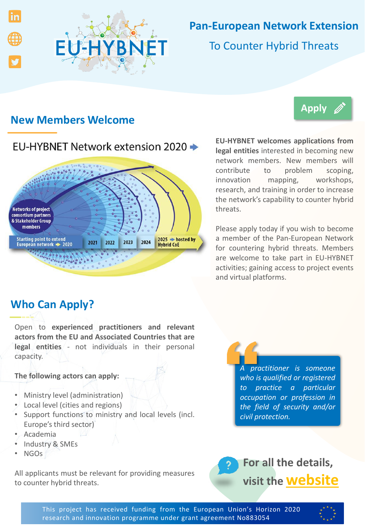

# **Pan-European Network Extension**

To Counter Hybrid Threats

### **New Members Welcome**

# EU-HYBNET Network extension 2020 →



legal entities interested in becoming new network members. New members will problem scoping, **EU-HYBNET welcomes applications from**  $control$  to innovation mapping, workshops, research, and training in order to increase the network's capability to counter hybrid threats.

**[Apply](https://forms.office.com/Pages/ResponsePage.aspx?id=IUcLgg31WUiFGJG846DcYnadGH67eSJFtw3LokFylrFUM0MyVUVTSE85QTdIQktLS09aUVpBQ1FVNS4u)**

Please apply today if you wish to become a member of the Pan-European Network for countering hybrid threats. Members are welcome to take part in EU-HYBNET activities; gaining access to project events and virtual platforms.

## **Who Can Apply?**

Open to **experienced practitioners and relevant actors from the EU and Associated Countries that are legal entities** - not individuals in their personal capacity.

### **The following actors can apply:**

- Ministry level (administration)
- Local level (cities and regions)
- Support functions to ministry and local levels (incl. Europe's third sector)
- Academia
- Industry & SMEs
- NGOs

All applicants must be relevant for providing measures to counter hybrid threats.

*A practitioner is someone who is qualified or registered to practice a particular occupation or profession in the field of security and/or civil protection.*